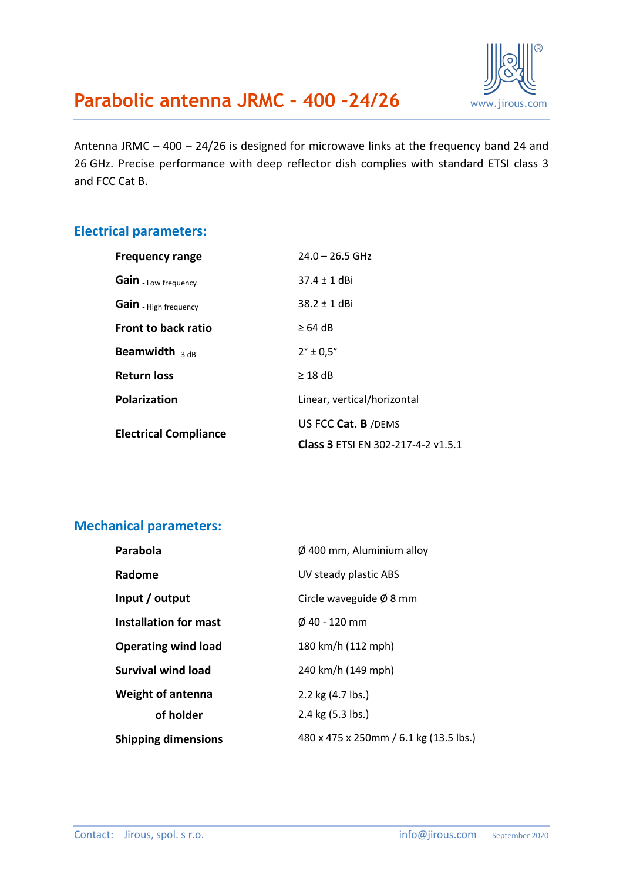

Antenna JRMC – 400 – 24/26 is designed for microwave links at the frequency band 24 and 26 GHz. Precise performance with deep reflector dish complies with standard ETSI class 3 and FCC Cat B.

#### **Electrical parameters:**

| <b>Frequency range</b>       | $24.0 - 26.5$ GHz                  |  |
|------------------------------|------------------------------------|--|
| Gain - Low frequency         | $37.4 + 1$ dBi                     |  |
| Gain - High frequency        | $38.2 \pm 1$ dBi                   |  |
| <b>Front to back ratio</b>   | $\geq 64$ dB                       |  |
| Beamwidth <sub>3 dB</sub>    | $2^\circ \pm 0.5^\circ$            |  |
| Return loss                  | $\geq$ 18 dB                       |  |
| <b>Polarization</b>          | Linear, vertical/horizontal        |  |
| <b>Electrical Compliance</b> | US FCC Cat. B /DEMS                |  |
|                              | Class 3 ETSI EN 302-217-4-2 v1.5.1 |  |

#### **Mechanical parameters:**

| Parabola                   | $\phi$ 400 mm, Aluminium alloy         |  |
|----------------------------|----------------------------------------|--|
| Radome                     | UV steady plastic ABS                  |  |
| Input / output             | Circle waveguide $\emptyset$ 8 mm      |  |
| Installation for mast      | $\emptyset$ 40 - 120 mm                |  |
| <b>Operating wind load</b> | 180 km/h (112 mph)                     |  |
| <b>Survival wind load</b>  | 240 km/h (149 mph)                     |  |
| <b>Weight of antenna</b>   | 2.2 kg (4.7 lbs.)                      |  |
| of holder                  | 2.4 kg (5.3 lbs.)                      |  |
| <b>Shipping dimensions</b> | 480 x 475 x 250mm / 6.1 kg (13.5 lbs.) |  |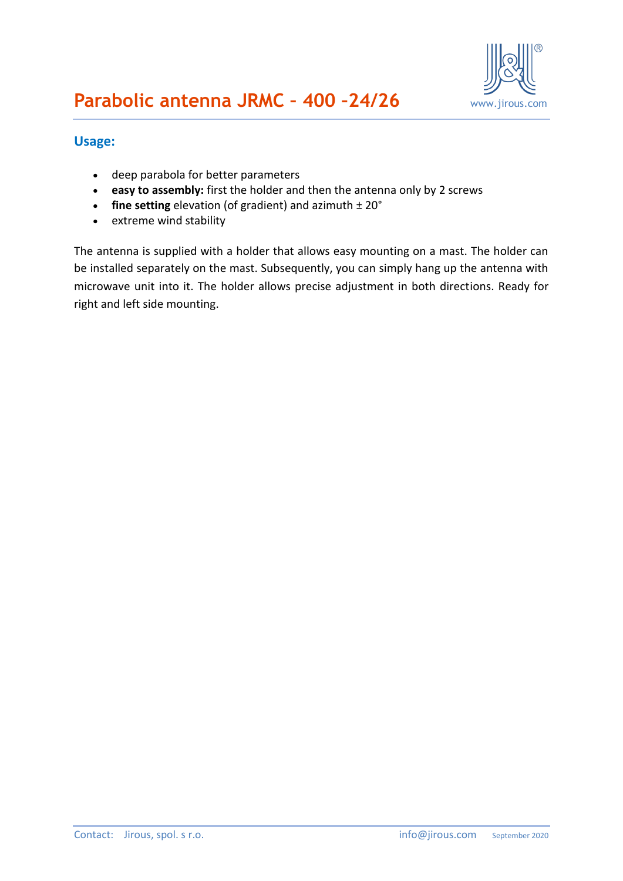

#### **Usage:**

- deep parabola for better parameters
- **easy to assembly:** first the holder and then the antenna only by 2 screws
- **fine setting** elevation (of gradient) and azimuth ± 20°
- extreme wind stability

The antenna is supplied with a holder that allows easy mounting on a mast. The holder can be installed separately on the mast. Subsequently, you can simply hang up the antenna with microwave unit into it. The holder allows precise adjustment in both directions. Ready for right and left side mounting.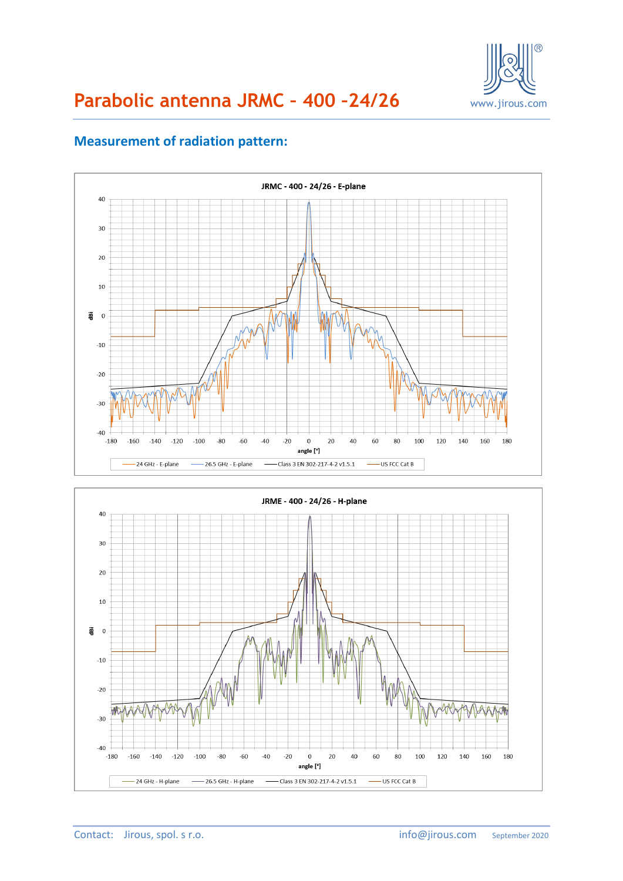

# **Parabolic antenna JRMC – 400 –24/26** www.jirous.com

## **Measurement of radiation pattern:**



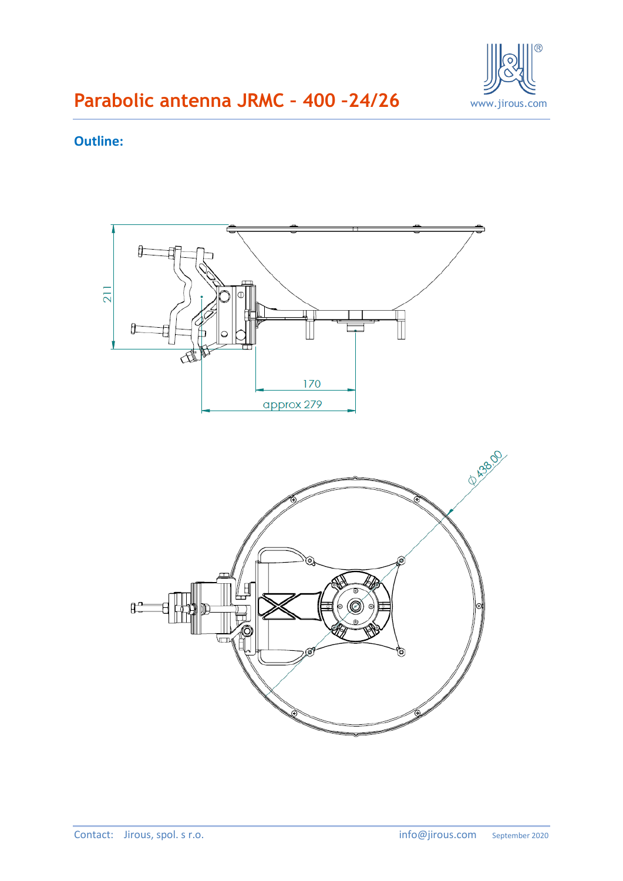

## **Outline:**